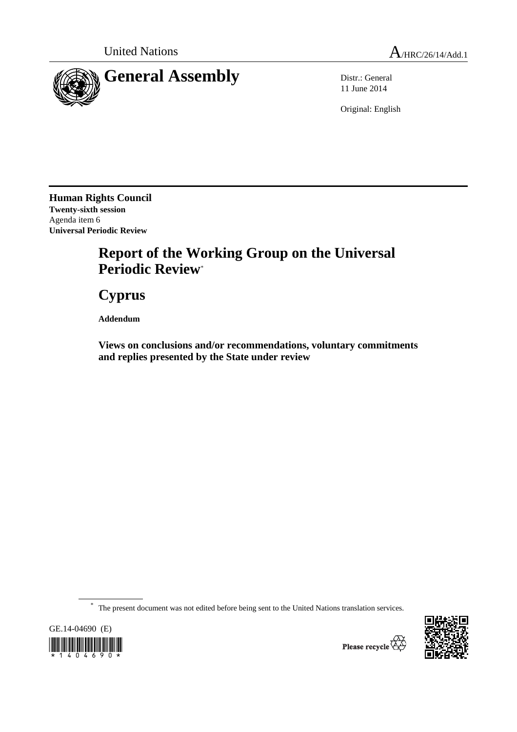

11 June 2014

Original: English

**Human Rights Council Twenty-sixth session**  Agenda item 6 **Universal Periodic Review** 

# **Report of the Working Group on the Universal Periodic Review**\*

 **Cyprus** 

 **Addendum** 

 **Views on conclusions and/or recommendations, voluntary commitments and replies presented by the State under review** 

\* The present document was not edited before being sent to the United Nations translation services.





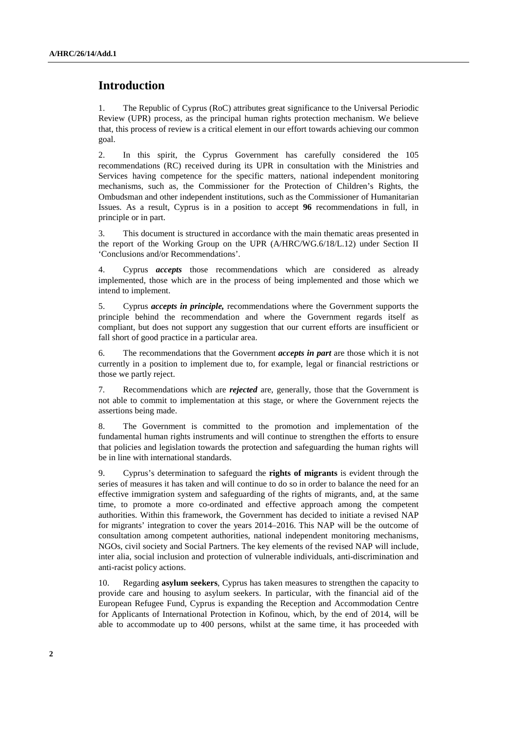## **Introduction**

1. The Republic of Cyprus (RoC) attributes great significance to the Universal Periodic Review (UPR) process, as the principal human rights protection mechanism. We believe that, this process of review is a critical element in our effort towards achieving our common goal.

2. In this spirit, the Cyprus Government has carefully considered the 105 recommendations (RC) received during its UPR in consultation with the Ministries and Services having competence for the specific matters, national independent monitoring mechanisms, such as, the Commissioner for the Protection of Children's Rights, the Ombudsman and other independent institutions, such as the Commissioner of Humanitarian Issues. As a result, Cyprus is in a position to accept **96** recommendations in full, in principle or in part.

3. This document is structured in accordance with the main thematic areas presented in the report of the Working Group on the UPR (A/HRC/WG.6/18/L.12) under Section II 'Conclusions and/or Recommendations'.

4. Cyprus *accepts* those recommendations which are considered as already implemented, those which are in the process of being implemented and those which we intend to implement.

5. Cyprus *accepts in principle,* recommendations where the Government supports the principle behind the recommendation and where the Government regards itself as compliant, but does not support any suggestion that our current efforts are insufficient or fall short of good practice in a particular area.

6. The recommendations that the Government *accepts in part* are those which it is not currently in a position to implement due to, for example, legal or financial restrictions or those we partly reject.

7. Recommendations which are *rejected* are, generally, those that the Government is not able to commit to implementation at this stage, or where the Government rejects the assertions being made.

8. The Government is committed to the promotion and implementation of the fundamental human rights instruments and will continue to strengthen the efforts to ensure that policies and legislation towards the protection and safeguarding the human rights will be in line with international standards.

9. Cyprus's determination to safeguard the **rights of migrants** is evident through the series of measures it has taken and will continue to do so in order to balance the need for an effective immigration system and safeguarding of the rights of migrants, and, at the same time, to promote a more co-ordinated and effective approach among the competent authorities. Within this framework, the Government has decided to initiate a revised NAP for migrants' integration to cover the years 2014–2016. This NAP will be the outcome of consultation among competent authorities, national independent monitoring mechanisms, NGOs, civil society and Social Partners. The key elements of the revised NAP will include, inter alia, social inclusion and protection of vulnerable individuals, anti-discrimination and anti-racist policy actions.

10. Regarding **asylum seekers**, Cyprus has taken measures to strengthen the capacity to provide care and housing to asylum seekers. In particular, with the financial aid of the European Refugee Fund, Cyprus is expanding the Reception and Accommodation Centre for Applicants of International Protection in Kofinou, which, by the end of 2014, will be able to accommodate up to 400 persons, whilst at the same time, it has proceeded with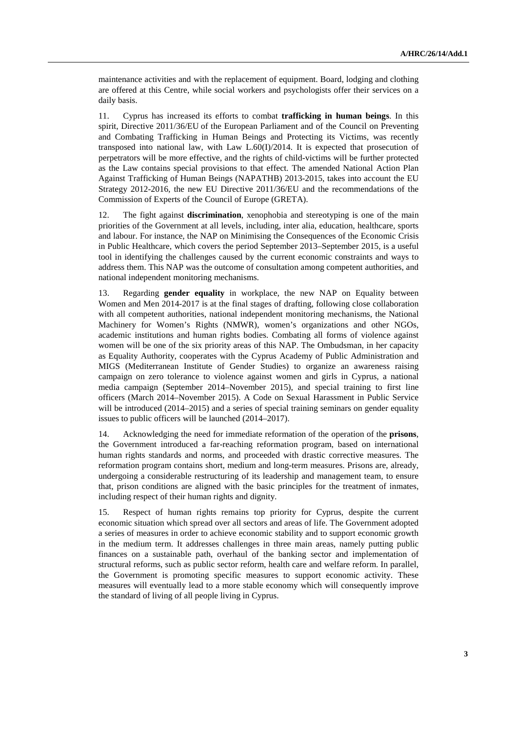maintenance activities and with the replacement of equipment. Board, lodging and clothing are offered at this Centre, while social workers and psychologists offer their services on a daily basis.

11. Cyprus has increased its efforts to combat **trafficking in human beings**. In this spirit, Directive 2011/36/EU of the European Parliament and of the Council on Preventing and Combating Trafficking in Human Beings and Protecting its Victims, was recently transposed into national law, with Law L.60(I)/2014. It is expected that prosecution of perpetrators will be more effective, and the rights of child-victims will be further protected as the Law contains special provisions to that effect. The amended National Action Plan Against Trafficking of Human Beings (NAPATHB) 2013-2015, takes into account the EU Strategy 2012-2016, the new EU Directive 2011/36/EU and the recommendations of the Commission of Experts of the Council of Europe (GRETA).

12. The fight against **discrimination**, xenophobia and stereotyping is one of the main priorities of the Government at all levels, including, inter alia, education, healthcare, sports and labour. For instance, the NAP on Minimising the Consequences of the Economic Crisis in Public Healthcare, which covers the period September 2013–September 2015, is a useful tool in identifying the challenges caused by the current economic constraints and ways to address them. This NAP was the outcome of consultation among competent authorities, and national independent monitoring mechanisms.

13. Regarding **gender equality** in workplace, the new NAP on Equality between Women and Men 2014-2017 is at the final stages of drafting, following close collaboration with all competent authorities, national independent monitoring mechanisms, the National Machinery for Women's Rights (NMWR), women's organizations and other NGOs, academic institutions and human rights bodies. Combating all forms of violence against women will be one of the six priority areas of this NAP. The Ombudsman, in her capacity as Equality Authority, cooperates with the Cyprus Academy of Public Administration and MIGS (Mediterranean Institute of Gender Studies) to organize an awareness raising campaign on zero tolerance to violence against women and girls in Cyprus, a national media campaign (September 2014–November 2015), and special training to first line officers (March 2014–November 2015). A Code on Sexual Harassment in Public Service will be introduced (2014–2015) and a series of special training seminars on gender equality issues to public officers will be launched (2014–2017).

14. Acknowledging the need for immediate reformation of the operation of the **prisons**, the Government introduced a far-reaching reformation program, based on international human rights standards and norms, and proceeded with drastic corrective measures. The reformation program contains short, medium and long-term measures. Prisons are, already, undergoing a considerable restructuring of its leadership and management team, to ensure that, prison conditions are aligned with the basic principles for the treatment of inmates, including respect of their human rights and dignity.

15. Respect of human rights remains top priority for Cyprus, despite the current economic situation which spread over all sectors and areas of life. The Government adopted a series of measures in order to achieve economic stability and to support economic growth in the medium term. It addresses challenges in three main areas, namely putting public finances on a sustainable path, overhaul of the banking sector and implementation of structural reforms, such as public sector reform, health care and welfare reform. In parallel, the Government is promoting specific measures to support economic activity. These measures will eventually lead to a more stable economy which will consequently improve the standard of living of all people living in Cyprus.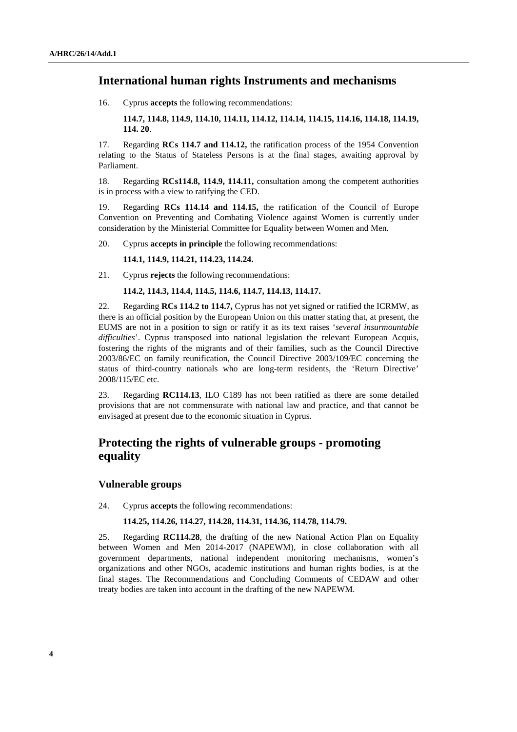## **International human rights Instruments and mechanisms**

16. Cyprus **accepts** the following recommendations:

**114.7, 114.8, 114.9, 114.10, 114.11, 114.12, 114.14, 114.15, 114.16, 114.18, 114.19, 114. 20**.

17. Regarding **RCs 114.7 and 114.12,** the ratification process of the 1954 Convention relating to the Status of Stateless Persons is at the final stages, awaiting approval by Parliament.

18. Regarding **RCs114.8, 114.9, 114.11,** consultation among the competent authorities is in process with a view to ratifying the CED.

19. Regarding **RCs 114.14 and 114.15,** the ratification of the Council of Europe Convention on Preventing and Combating Violence against Women is currently under consideration by the Ministerial Committee for Equality between Women and Men.

20. Cyprus **accepts in principle** the following recommendations:

**114.1, 114.9, 114.21, 114.23, 114.24.** 

21. Cyprus **rejects** the following recommendations:

#### **114.2, 114.3, 114.4, 114.5, 114.6, 114.7, 114.13, 114.17.**

22. Regarding **RCs 114.2 to 114.7,** Cyprus has not yet signed or ratified the ICRMW, as there is an official position by the European Union on this matter stating that, at present, the EUMS are not in a position to sign or ratify it as its text raises '*several insurmountable difficulties*'. Cyprus transposed into national legislation the relevant European Acquis, fostering the rights of the migrants and of their families, such as the Council Directive 2003/86/EC on family reunification, the Council Directive 2003/109/EC concerning the status of third-country nationals who are long-term residents, the 'Return Directive' 2008/115/EC etc.

23. Regarding **RC114.13**, ILO C189 has not been ratified as there are some detailed provisions that are not commensurate with national law and practice, and that cannot be envisaged at present due to the economic situation in Cyprus.

## **Protecting the rights of vulnerable groups - promoting equality**

#### **Vulnerable groups**

24. Cyprus **accepts** the following recommendations:

#### **114.25, 114.26, 114.27, 114.28, 114.31, 114.36, 114.78, 114.79.**

25. Regarding **RC114.28**, the drafting of the new National Action Plan on Equality between Women and Men 2014-2017 (NAPEWM), in close collaboration with all government departments, national independent monitoring mechanisms, women's organizations and other NGOs, academic institutions and human rights bodies, is at the final stages. The Recommendations and Concluding Comments of CEDAW and other treaty bodies are taken into account in the drafting of the new NAPEWM.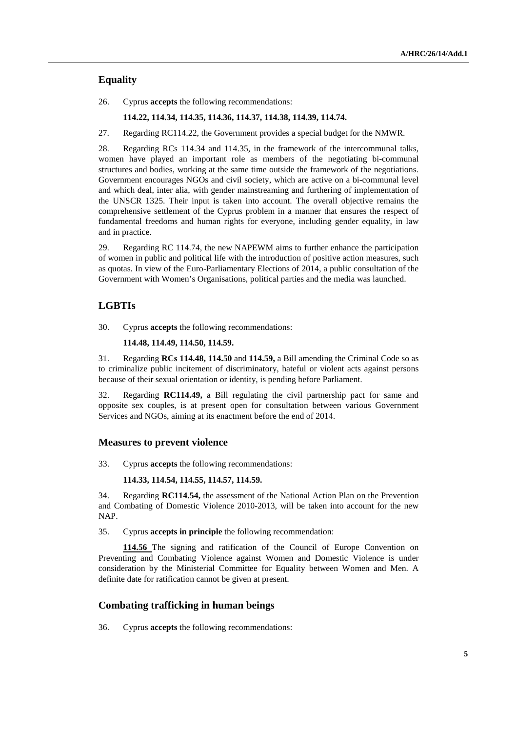## **Equality**

26. Cyprus **accepts** the following recommendations:

#### **114.22, 114.34, 114.35, 114.36, 114.37, 114.38, 114.39, 114.74.**

27. Regarding RC114.22, the Government provides a special budget for the NMWR.

28. Regarding RCs 114.34 and 114.35, in the framework of the intercommunal talks, women have played an important role as members of the negotiating bi-communal structures and bodies, working at the same time outside the framework of the negotiations. Government encourages NGOs and civil society, which are active on a bi-communal level and which deal, inter alia, with gender mainstreaming and furthering of implementation of the UNSCR 1325. Their input is taken into account. The overall objective remains the comprehensive settlement of the Cyprus problem in a manner that ensures the respect of fundamental freedoms and human rights for everyone, including gender equality, in law and in practice.

29. Regarding RC 114.74, the new NAPEWM aims to further enhance the participation of women in public and political life with the introduction of positive action measures, such as quotas. In view of the Euro-Parliamentary Elections of 2014, a public consultation of the Government with Women's Organisations, political parties and the media was launched.

#### **LGBTIs**

30. Cyprus **accepts** the following recommendations:

#### **114.48, 114.49, 114.50, 114.59.**

31. Regarding **RCs 114.48, 114.50** and **114.59,** a Bill amending the Criminal Code so as to criminalize public incitement of discriminatory, hateful or violent acts against persons because of their sexual orientation or identity, is pending before Parliament.

32. Regarding **RC114.49,** a Bill regulating the civil partnership pact for same and opposite sex couples, is at present open for consultation between various Government Services and NGOs, aiming at its enactment before the end of 2014.

#### **Measures to prevent violence**

33. Cyprus **accepts** the following recommendations:

#### **114.33, 114.54, 114.55, 114.57, 114.59.**

34. Regarding **RC114.54,** the assessment of the National Action Plan on the Prevention and Combating of Domestic Violence 2010-2013, will be taken into account for the new NAP.

35. Cyprus **accepts in principle** the following recommendation:

**114.56** The signing and ratification of the Council of Europe Convention on Preventing and Combating Violence against Women and Domestic Violence is under consideration by the Ministerial Committee for Equality between Women and Men. A definite date for ratification cannot be given at present.

#### **Combating trafficking in human beings**

36. Cyprus **accepts** the following recommendations: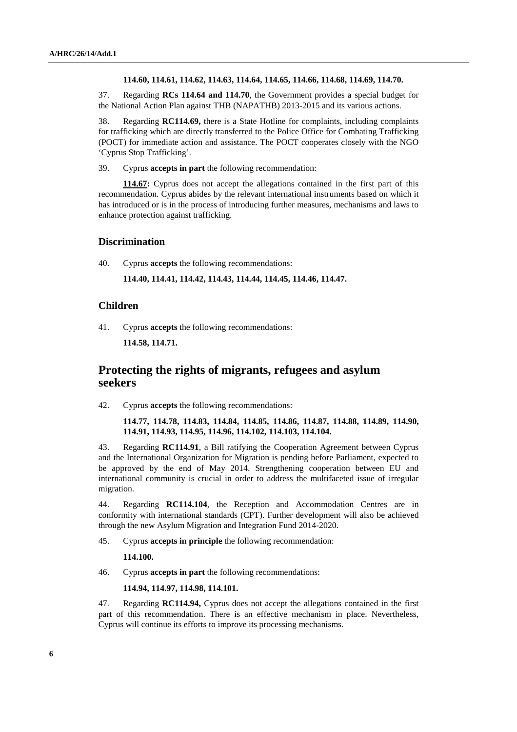#### **114.60, 114.61, 114.62, 114.63, 114.64, 114.65, 114.66, 114.68, 114.69, 114.70.**

37. Regarding **RCs 114.64 and 114.70**, the Government provides a special budget for the National Action Plan against THB (NAPATHB) 2013-2015 and its various actions.

38. Regarding **RC114.69,** there is a State Hotline for complaints, including complaints for trafficking which are directly transferred to the Police Office for Combating Trafficking (POCT) for immediate action and assistance. The POCT cooperates closely with the NGO 'Cyprus Stop Trafficking'.

39. Cyprus **accepts in part** the following recommendation:

**114.67:** Cyprus does not accept the allegations contained in the first part of this recommendation. Cyprus abides by the relevant international instruments based on which it has introduced or is in the process of introducing further measures, mechanisms and laws to enhance protection against trafficking.

#### **Discrimination**

40. Cyprus **accepts** the following recommendations:

**114.40, 114.41, 114.42, 114.43, 114.44, 114.45, 114.46, 114.47.** 

#### **Children**

41. Cyprus **accepts** the following recommendations:

**114.58, 114.71.** 

## **Protecting the rights of migrants, refugees and asylum seekers**

42. Cyprus **accepts** the following recommendations:

#### **114.77, 114.78, 114.83, 114.84, 114.85, 114.86, 114.87, 114.88, 114.89, 114.90, 114.91, 114.93, 114.95, 114.96, 114.102, 114.103, 114.104.**

43. Regarding **RC114.91**, a Bill ratifying the Cooperation Agreement between Cyprus and the International Organization for Migration is pending before Parliament, expected to be approved by the end of May 2014. Strengthening cooperation between EU and international community is crucial in order to address the multifaceted issue of irregular migration.

44. Regarding **RC114.104**, the Reception and Accommodation Centres are in conformity with international standards (CPT). Further development will also be achieved through the new Asylum Migration and Integration Fund 2014-2020.

45. Cyprus **accepts in principle** the following recommendation:

#### **114.100.**

46. Cyprus **accepts in part** the following recommendations:

#### **114.94, 114.97, 114.98, 114.101.**

47. Regarding **RC114.94,** Cyprus does not accept the allegations contained in the first part of this recommendation. There is an effective mechanism in place. Nevertheless, Cyprus will continue its efforts to improve its processing mechanisms.